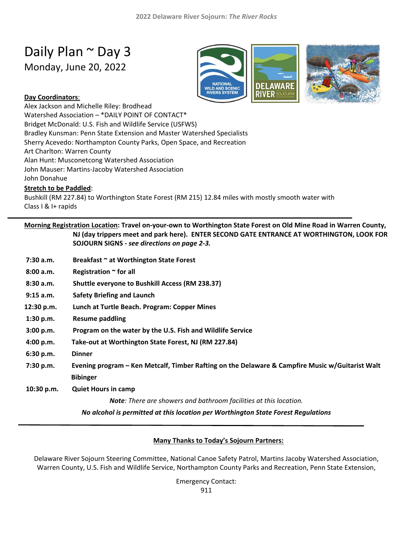# Daily Plan ~ Day 3

Monday, June 20, 2022



### **Day Coordinators**:

Alex Jackson and Michelle Riley: Brodhead Watershed Association – \*DAILY POINT OF CONTACT\* Bridget McDonald: U.S. Fish and Wildlife Service (USFWS) Bradley Kunsman: Penn State Extension and Master Watershed Specialists Sherry Acevedo: Northampton County Parks, Open Space, and Recreation Art Charlton: Warren County Alan Hunt: Musconetcong Watershed Association John Mauser: Martins-Jacoby Watershed Association John Donahue **Stretch to be Paddled**: Bushkill (RM 227.84) to Worthington State Forest (RM 215) 12.84 miles with mostly smooth water with Class I & I+ rapids

|             | Morning Registration Location: Travel on-your-own to Worthington State Forest on Old Mine Road in Warren County,<br>NJ (day trippers meet and park here). ENTER SECOND GATE ENTRANCE AT WORTHINGTON, LOOK FOR<br>SOJOURN SIGNS - see directions on page 2-3. |
|-------------|--------------------------------------------------------------------------------------------------------------------------------------------------------------------------------------------------------------------------------------------------------------|
| 7:30 a.m.   | Breakfast ~ at Worthington State Forest                                                                                                                                                                                                                      |
| 8:00 a.m.   | Registration $\sim$ for all                                                                                                                                                                                                                                  |
| 8:30 a.m.   | Shuttle everyone to Bushkill Access (RM 238.37)                                                                                                                                                                                                              |
| $9:15$ a.m. | <b>Safety Briefing and Launch</b>                                                                                                                                                                                                                            |
| 12:30 p.m.  | Lunch at Turtle Beach. Program: Copper Mines                                                                                                                                                                                                                 |
| 1:30 p.m.   | <b>Resume paddling</b>                                                                                                                                                                                                                                       |
| 3:00 p.m.   | Program on the water by the U.S. Fish and Wildlife Service                                                                                                                                                                                                   |
| 4:00 p.m.   | Take-out at Worthington State Forest, NJ (RM 227.84)                                                                                                                                                                                                         |
| 6:30 p.m.   | <b>Dinner</b>                                                                                                                                                                                                                                                |
| 7:30 p.m.   | Evening program – Ken Metcalf, Timber Rafting on the Delaware & Campfire Music w/Guitarist Walt                                                                                                                                                              |
|             | <b>Bibinger</b>                                                                                                                                                                                                                                              |
| 10:30 p.m.  | <b>Quiet Hours in camp</b>                                                                                                                                                                                                                                   |
|             | <b>Note:</b> There are showers and bathroom facilities at this location.                                                                                                                                                                                     |
|             | No alcohol is permitted at this location per Worthington State Forest Regulations                                                                                                                                                                            |

# **Many Thanks to Today's Sojourn Partners:**

Delaware River Sojourn Steering Committee, National Canoe Safety Patrol, Martins Jacoby Watershed Association, Warren County, U.S. Fish and Wildlife Service, Northampton County Parks and Recreation, Penn State Extension,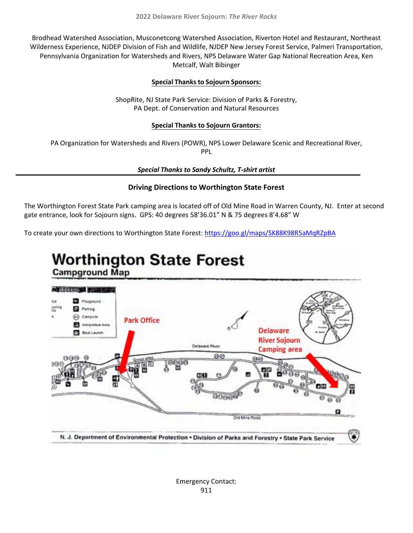Brodhead Watershed Association, Musconetcong Watershed Association, Riverton Hotel and Restaurant, Northeast Wilderness Experience, NJDEP Division of Fish and Wildlife, NJDEP New Jersey Forest Service, Palmeri Transportation, Pennsylvania Organization for Watersheds and Rivers, NPS Delaware Water Gap National Recreation Area, Ken Metcalf, Walt Bibinger

### **Special Thanks to Sojourn Sponsors:**

ShopRite, NJ State Park Service: Division of Parks & Forestry, PA Dept. of Conservation and Natural Resources

#### **Special Thanks to Sojourn Grantors:**

PA Organization for Watersheds and Rivers (POWR), NPS Lower Delaware Scenic and Recreational River, PPL

*Special Thanks to Sandy Schultz, T-shirt artist* 

### **Driving Directions to Worthington State Forest**

The Worthington Forest State Park camping area is located off of Old Mine Road in Warren County, NJ. Enter at second gate entrance, look for Sojourn signs. GPS: 40 degrees 58'36.01" N & 75 degrees 8'4.68" W

To create your own directions to Worthington State Forest:<https://goo.gl/maps/SK88K98R5aMqRZpBA>

# **Worthington State Forest**

**Campground Map**